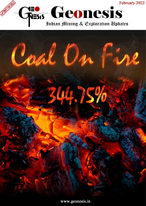



www.geonesis.in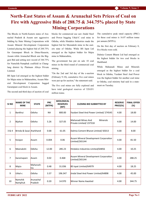# **North-East States of Assam & Arunachal Sets Prices of Coal on Fire with Aggressive Bids of 288.75 & 344.75% placed by State Mining Corporations**

The Blocks in North-Eastern states of Arunachal Pradesh & Assam saw aggressive bidding by State Mining Corporations with Assam Mineral Development Corporation Limited placing the highest bid of 288.75% for Garampani Block in Dima-Hasaoin, Assam while Arunachal Block saw the Biggest Bid and setting new record of 344.75% for Namchik-Namphuk coalfield in Changlang district by Platinum Alloys Private Limited.

BS Ispat Ltd emerged as the highest bidder for Majra mine in Maharashtra, Assam Mineral Development Corporation bagged Garampani coal block in Assam.

The second and third days of auction of coal

blocks for commercial use saw Jindal Steel and Power bagging Utkal-C coal mine in Odisha, while Hindalco Industries made the highest bid for Meenakshi mine in the eastern state of Odisha. While BS Ispat Ltd emerged as the highest bidder for Majra mine in Maharashtra,

The government has put on sale 10 coal mines in the third round of [commercial coal](https://www.business-standard.com/topic/commercial-coal-mining)  [mining.](https://www.business-standard.com/topic/commercial-coal-mining)

"On the 2nd and 3rd day of the e-auction (February 9-10), cumulative five coal mines were put up for auction," the statement said.

The five coal mines are fully explored and have total geological reserves of 528.051 million tonne.

The cumulative peak rated capacity (PRC) for these coal mines is 16.07 million tonne per annum (MTPA).

On the first day of auction on February 8, five blocks were sold.

Dalmia Cement Bharat Ltd had emerged as the highest bidder for two coal blocks in Jharkhand.

While Mahanadi Mines and Minerals emerged as the highest bidder for a coal block in Odisha, Yazdani Steel And Power was the highest bidder for another coal mine in Odisha, coal ministry had said in a statement on Tuesday.

| SI <sub>NO</sub> | <b>NAME OF THE</b><br><b>MINE</b> | <b>STATE</b>         | <b>PRC</b><br>(MTPA) | <b>GEOLOGICAL</b><br><b>RESERVES</b><br>(MT) | <b>CLOSING BID SUBMITTED BY</b>                          | <b>RESERVE</b><br>PRICE(%) | <b>FINAL OFFER</b><br>(%) |
|------------------|-----------------------------------|----------------------|----------------------|----------------------------------------------|----------------------------------------------------------|----------------------------|---------------------------|
| $\mathbf{1}$     | Bankhui                           | <b>Odisha</b>        | <b>NA</b>            | 800.00                                       | Yazdani Steel And Power Limited/ 274545                  | 4.00                       | 18.00                     |
| 2                | Bijahan                           | <b>Odisha</b>        | 5.26                 | 327.05                                       | Minerals<br>Mahanadi Mines And<br>Private Limited/237318 | 4.00                       | 14.00                     |
| 3 & 4            | Brinda & Sasai Uharkhand          |                      | 0.68                 | 61.05                                        | Dalmia Cement Bharat Limited/ 65013                      | 4.00                       | 8.00                      |
| 5                | Koiajan                           | Assam                | 0.004                | 0.06                                         | Assam Mineral Development Corporation<br>Limited/265144  | 4.00                       | 81.50                     |
| 6                | Meenakshi                         | <b>Odisha</b>        | 12.00                | 285.23                                       | Hindalco Industries Limited/64856                        | 4.00                       | 10.25                     |
| $\overline{7}$   | Garamapani                        | Assam                | 0.02                 | 0.468                                        | Assam Mineral Development Corporation<br>Limited/265144  | 4.00                       | 288.25                    |
| 8                | Majra                             | Maharash-<br>ltra    | 0.48                 | 31.036                                       | BS Ispat Limited/64979                                   | 4.00                       | 18.25                     |
| 9                | Utkal-c                           | <b>Odisha</b>        | 3.37                 | 196.347                                      | Jindal Steel And Power Limited/64898                     | 4.00                       | 45.00                     |
| 10               | Namchik<br>Namphuk                | Arunachal<br>Pradesh | 0.20                 | 14.970                                       | Winner Name Awaited                                      | 4.00                       | 344.75                    |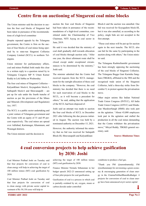### **Centre firm on auctioning of Singareni coal mine blocks**

The Union minister said the decision to auction the four coal blocks of Singareni had been taken in pursuance of the recommendations of a high-level committee

Despite repeated appeals by the Telangana government, the Centre is firm on the auction of four blocks of coal mines being operated by to state-run Singareni Collieries Company Limited (SCCL) in northern Telangana.

Union minister for parliamentary affairs, coal and mines Prahlad Joshi made this clear in a written reply to a question raised by to Telangana Congress MP N Uttam Kumar Reddy in Lok Sabha on Wednesday.

The four coal mines of Singareni Collieries – KalyanKhani block-6, Koyagudem block-3, Sathupalli block-6 and Shravanapalli – are put up for sale under the fourth tranche of auction as per the provisions of the Mines and Minerals (Development and Regulation) Act, 1957.

The SCCL is a public sector undertaking and a joint venture of Telangana government and the Centre with an equity of 51 and 49 percent respectively. The coal mines are spread over Adilabad, Karimnagar, Khammam, and Warangal districts.

The Union minister said the decision to

auction the four coal blocks of Singareni had been taken in pursuance of the recommendations of a high-level committee, constituted under the Chairmanship of Vice Chairman, NITI Aayog on coal sector in June, 2019.

He said it was decided that the ministry of coal shall gradually shift towards allocation of coal blocks through auction only. "After one year, the direct allotment route shall be closed except under exceptional circumstances to be determined by the ministry," Joshi said.

The minister admitted that the Centre had received requests from the SCCL management for the outright allocation of these coal blocks to the company. "However, the coal ministry has decided that there is no need for such reservation of coal blocks to the SCCL, as it will become a precedent for others," he said, adding that the application of the SCCL had been disposed of.

Joshi said an attempt was made to auction the four coal blocks of SCCL in December 2021 after following the due process initiated in August. The auction was held by a nominated authority on December 15, 2021.

However, the authority informed the ministry that no bid was received for Sattupalli Block-III, Shravanapalli and KalyanKhani

Block-6 and the auction was annulled. One bid was received for Koyagudem block-III, but it was also annulled, as according to the policy, single bids are not accepted in the first attempt.

"These coal mines will be put up for auction again in the next tranche. The SCCL also can bid for the same by participating in the auction along with others," the Union minister said.

The Telangana RashtraSamithi government has been strongly opposing the auctioning of the coal blocks of Singareni Collieries. The Telangana Boggu Gani Karmika Sangham (TBGKS), affiliated to the TRS and the recognised trade union of the Singareni Collieries, held a three-day strike from December 9, in protest against the privatisation move.

Other major unions like Indian National Trade Union Congress (INTUC), All India Trade Union Congress (AITUC) and Hindustan MazdoorSangh (HMS) also took part on the agitation. "About 43,000 employees took part in the agitation and stalled the production in all the coal mines demanding that the Centre withdraw the privatisation move," Miryal Reddy, TBGKS general secretary, said.

**Source: Hindustan Times**

### **4 coal conversion projects to help achieve gasification by 2030: Joshi**

Coal Minister Pralhad Joshi on Tuesday said that four projects for conversion of coal to clean energy will help in achieving the target of 100 million tonnes (MT) coal gasification by 2030.

Coal Minister [Pralhad Joshi](https://www.business-standard.com/topic/pralhad-joshi) on Tuesday said that four projects for conversion of coal to [clean energy](https://www.business-standard.com/topic/clean-energy) with private sector capital investment of Rs 30,130 crore will help in

achieving the target of 100 million tonnes (MT) coal gasification by 2030.

Finance Minister Nirmala Sitharaman in her budget speech 2022-23 announced setting up of four pilot projects for coal gasification.

Gasification of coal is a process in which coal is partially oxidated by air, oxygen, steam or carbon dioxide under controlled

conditions to produce a fuel gas.

"Thank you PM @narendramodiji, FM @nsitharamanji for envisioning a green economy & encouraging generation of clean ener[gy](https://www.business-standard.com/topic/clean-energy) in the #AatmaNirbharBharatKaBudget. 4 projects for conversion of coal to clean ener[gy](https://www.business-standard.com/topic/clean-energy) have been announced at pvt sector capital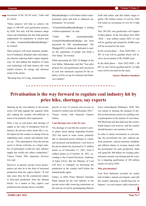investment of Rs 30,130 crore," Joshi said in a tweet.

"These projects will help us achieve the target of 100 MT coal gasification projects by 2030. Not only will this initiative adopt clean coal technology but also help generate employment for population in eastern part of India. #AatmanirbharBharatKaBudget," he tweeted.

These projects will boost domestic production of methanol, dimethyl ether and ammonia, thereby reducing India's import dependency, he said adding that adoption of clean coal technology will help harness this vital natural resource for energy and chemical needs of the nation.

"Boosting Ease of Living, AatmaNirbhar-

BharatKaBudget # will further India's entrepreneurial spirit and lead to enhanced opportunities," he tweeted.

"#AatmaNirbharBharatKaBudget is fueling a billion aspirations," he said.

"Under PM @narendramodiji, #AatmaNirbharBharatKaBudget has been presented by FM @nsitharamanji. The #Budget2022 is balanced, dedicated to realise the aspirations of people and build a New India," he tweeted.

While presenting the 2022-23 Budget in the Lok Sabha, Sitharaman said that "four pilot projects for coal gasification and conversion of coal into chemicals required for the industry will be set up for technical and financial viability".

Joshi had earlier said that India's target to gasify 100 million tonnes of coal by 2030 will entail an investment of over Rs 4 lakh crore.

This 100 MT coal gasification will happen in three phases. In the first phase from 2020 -2024 -- four million tonnes (MT) of coal will be gasified and around Rs 20,000 crore will be invested for the same.

In the second phase -- from 2020-2026 -- 6 MT of coal will be gasified which will involve an investment of Rs 30,000 crore.

In the third phase -- from 2022-2030 -- 90 MT of coal will be gasified and Rs 3.6 lakh crore will be invested for the same.

**Source: Busniess Standard**

### **Privatisation is the way forward to regulate coal industry hit by price hike, shortages, say experts**

Opening up the coal industry to the private sector will help regulate the segment while also making the country self-sufficient in terms of its domestic fuel requirement.

With a rise in coal prices and shortage of supply in the wake of disruptions from Indonesia, the private sector seems like a viable option for the country to emerge from an impending crisis, experts and industry leaders say. "The participation from the private sector is always welcome, as a larger number of participants would not only enhance supply but would also infuse competition," Vinaya Varma, MD, mjunction Services Ltd, said.

However, at present, private sector participation can only be in the form of increased production from the captive blocks. "It will take some time for the commercial miners to kick-start production from the allotted blocks. As a matter of fact, captive coal production has already shown a healthy

growth of over 32 percent year-on-year to around 62 million tons till December 2021," Vinaya Varma told Financial Express Online.

#### **Coal shortage eases a bit, for now**

The shortage of coal that the country's power plants faced during September-October 2021 has eased to some extent, primarily due to decreased power demand in winter, and increased coal production. Coal stock at the power plants has increased to 23 million tonnes as of December 27, 2021, from 9 million tonnes as of October 26, 2021, according to the Central Electricity Authority of India (CEA). But the Ministry of Coal will have to strategise on increasing the production in the country itself before the demand peaks again.

Earlier, in 2020, Prime Minister Narendra [Modi](https://www.financialexpress.com/tag/narendra-modi/) opened up the coal industry to the private sector after removing restrictions on the end use of coal by promulgating Mineral

Laws (Amendment) Ordinance, 2020. This was aimed at meeting the demand of dryfuel in downstream sectors by enabling wider participation in the auction of coal mines. PM Modi had said that India has the world's fourth largest coal reserves, and the country should become a net exporter of coal.

In order to attract investments in coal mining, the government has also reduced upfront payments, relaxed payment schedules and offered rebates in revenue shared with the government for early production. India will spend Rs 500 billion for creating infrastructures around coal mining and the country is targeting gasification of 100 million tonnes of coal by 2030.

#### **Why privatisation?**

Coal from Indonesia accounts for nearly half of India's annual coal imports, and with the country imposing a month-long ban on January 1 on coal exports, India witnessed a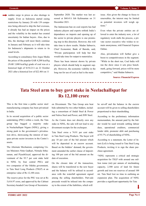sudden surge in prices as also shortage in supply. Even as Indonesia started easing restrictions by January 20 with 139 companies being allowed to ship the fuel overseas, it already has had an impact on the prices and the volatility in the market has created uncertainty for Indian buyers. Also, due to this, the shortage will most likely continue in January and February as it will take time for Indonesia's shipments to return to its usual levels.

According to consultancy firm Argus Media the prices of the popular GAR 4,200 kcal/kg (NAR 3,800 kcal/kg) grade of coal was at a historical high of \$154.21/t on 22 October 2021 after a historical low of \$22.40/t on 11

September 2020. The market was last assessed at \$60.41/t fob Kalimantan on 31 December 2021.

The Indonesian ban on coal exports has had industry players and experts rethink India's dependence on imports and opening up of the sector to private players is one promising step in this direction. However, this will take time to show results. Madan Sabnavis, Chief Economist, [Bank of Baroda,](https://www.financialexpress.com/market/stock-market/bank-of-baroda-stock-price/) said, "Private participation will help but that would take time for output to materialize.

There has been interest shown by private players which should help to augment supply. However, the economic viability in the long run for use of coal as fuel is the main

issue. Also given the change in focus to renewables, the interest may be limited as potential investors will weigh options."

Even when the private entities are allowed to enter the industry now, a lot of regulatory work stalls the process, a private sector executive who wishes to remain anonymous, told Financial Express Online.

Also, privatisation will further give a boost to competitiveness in the segment. "While in the short run, Coal India will run the show since it sets price benchmark, going forward, prices will be more competitive," said Madan Sabnavis.

**Source: Financial Express**

### **Tata Steel arm to buy govt stake in NeelachalIspat for Rs 12,100 crore**

This is the first time a public sector steel manufacturing company has been privatised in India.

In its second acquisition of a public sector undertaking (PSU) within a week, the Tata group has bagged a majority stake in [NeelachalIspat](https://www.business-standard.com/topic/neelachal-ispat) Nigam (NINL), giving a strong push to the government's privatisation drive, showcasing the interest of marquee private sector investors in the Centre's assets.

The Alternate Mechanism, comprising Union Ministers Nitin Gadkari, Nirmala Sitharaman, and PiyushGoyal, approved the divestment of the 93.7 per cent stake held in [NINL](https://www.business-standard.com/topic/ninl) by four central PSUs and two [companies](https://www.business-standard.com/companies) of the Odisha government, to [Tata Steel](https://www.business-standard.com/topic/tata-steel) Long Products (TSLP) at an enterprise value of Rs 12,100 crore.

The reserve price for the PSU was set at Rs 5,616.97 crore, and approved by the Cabinet Secretary-headed Core Group of Secretaries

on Divestment. The Tata Group arm beat bids submitted by two other bidders, including a consortium of Jindal Steel & Power and Nalwa Steel and Power, and JSW Steel.

As the Centre does not directly own any stake in NINL, the sale will not lead to any divestment receipts for the exchequer.

[Tata Steel](https://www.business-standard.com/topic/tata-steel) owns a 74.91 per cent stake in [Tata Steel](https://www.business-standard.com/topic/tata-steel) Long Products. The buyer will pay 10 per cent of the bid amount which will be deposited in an escrow account. Based on the bidders' demand, the government amended the earlier clause of depositing 100 per cent of the bid amount on the date of execution.

On the closure date of the transaction, shares will be transferred to the new buyer and the balance will be utilised in accordance with the waterfall agreement signed among the selling shareholders. Part-sale proceeds would be infused into the company to the extent of the liabilities, which will

be set-off and the balance in the escrow account will be given to selling shareholders proportional to their shareholding.

According to the preliminary information memorandum, the amount paid by the bidder would be used towards settling labour dues, operational creditors, commercial lender debt, promoter debt and purchasing of 93.7% of shareholding of NINL.

According to a statement, the Letter of Intent (LoI) is being issued to Tata Steel Long Products, inviting it to sign the share purchase agreement.

["NINL](https://www.business-standard.com/topic/ninl) represents a critical and strategic acquisition for TSLP with around one million tonne (mt) per annum of steelmaking capacity, 2,500 acres of land for future growth and iron ore reserves of around 100 mt. Tata Steel lost no time in outlining an expansion plan. The acquisition of NINL provides a significant opportunity for Tata

**Page No 4**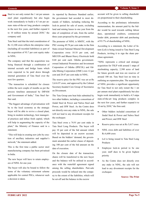Steel to not only restart the 1 mt per annum steel plant expeditiously but also begin work immediately to build a 4.5 mt per annum state-of-the-art long products complex in the next few years, and further expand it to 10 million tonne by around 2030," the company said.

Tata Steel said that the total consideration of Rs 12,100 crore reflects the enterprise value (including all recorded liabilities) as part of the acquisition of 93.7 per cent equity stake in NINL.

The company said that the acquisition was being financed through a combination of internal accruals and bridge loans which were expected to be paid down through internal generation of Tata Steel over the next few quarters.

"The transaction is scheduled for closure within the next couple of months as per the process timelines announced by DIPAM and Government of India," Tata Steel further said.

"The biggest advantage of privatisation will be to the local economy as the strategic buyer will be able to revive a closed plant, bring in modern technology, best managerial practices and infuse fresh capital, which will help in augmenting the capacity of the plant," the Ministry of Finance said in a statement.

"This will help in creating new jobs by creation of ancillary industries and supplier's network," the statement added.

This is the first time a public sector steel manufacturing company has been privatised in India.

The new buyer will have to retain employees of NINL for one year.

The buyer will also be bound to follow the terms of the voluntary retirement scheme applicable for central PSUs, whenever such a decision is taken.

As reported by Business Standard earlier, the government had acceded to most demands of bidders, including reducing the lock-in period for sale of assets, excluding land and mining leases to one year from the date of completion of sale, from the earlier three years proposed by the government.

The promoter of NINL is MMTC, with the PSU owning 49.78 per cent stake in the firm State-owned National Mineral Development Corporation owns 10.10 per cent, and MECON and Bharat Heavy Electricals hold 0.68 per cent each. Odisha governmentowned Industrial Promotion and Investment Corporation of Odisha (IPICOL) and Odisha Mining Corporation (OMC) own 12 per cent and 20.47 per cent stake in NINL.

The reserve price for the PSU was set at Rs 5,616.97 crore, and approved by the Cabinet Secretary-headed Core Group of Secretaries on Divestment.

The Tata Group arm beat bids submitted by two other bidders, including a consortium of Jindal Steel & Power and Nalwa Steel and Power, and JSW Steel. As the Centre does not directly own any stake in NINL, the sale will not lead to any divestment receipts for the exchequer.

Tata Steel owns a 74.91 per cent stake in Tata Steel Long Products. The buyer will pay 10 per cent of the bid amount which will be deposited in an escrow account. Based on the bidders' demand, the government amended the earlier clause of depositing 100 per cent of the bid amount on the date of execution.

On the closure date of the transaction, shares will be transferred to the new buyer and the balance will be utilised in accordance with the waterfall agreement signed among the selling shareholders. Part-sale proceeds would be infused into the company to the extent of the liabilities, which will be set-off and the balance in the escrow

account will be given to selling shareholders proportional to their shareholding.

According to the preliminary information memorandum, the amount paid by the bidder would be used towards settling labour dues, operational creditors, commercial lender debt, promoter debt and purchasing of 93.7% of shareholding of NINL.

According to a statement, the Letter of Intent (LoI) is being issued to Tata Steel Long Products, inviting it to sign the share purchase agreement.

"NINL represents a critical and strategic acquisition for TSLP with around 1 mtpa of steelmaking capacity, 2,500 acres of land for future growth and iron ore reserves of around 100 mt. Tata Steel lost no time in outlining an expansion plan. The acquisition of NINL provides a significant opportunity for Tata Steel to not only restart the 1 mt per annum steel plant expeditiously but also begin work immediately to build a 4.5 mtpa state-of-the-art long products complex in the next few years, and further expand it to 10 mt by 2030," the firm said.

- Other bidders included consortium of Jindal Steel & Power and Nalwa Steel and Power; and JSW Steel
- Reserve price was set at Rs 5,617 crore
- NINL owes debt and liabilities of over Rs 6,600 crore
- LoI is being issued to Tata Steel Long Products
- Employee lock-in period to be one year; staff dues to be given highest priority
- As the Centre does not directly own any stake in NINL, the sale will not lead to any divestment receipts for the exchequer.

**Source: The Print**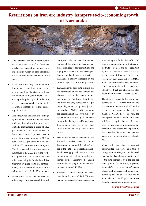### **Restrictions on iron ore industry hampers socio-economic growth of Karnataka**



- The Karnataka Iron ore industry continues to face the brunt of a 10-year-old mechanism imposed on the local mining industry which is also restricting the socio-economic development of the state.
- Karnataka is the only state in India to impose such restrictions on the exports of iron ore from the state or sell iron ore freely to all buyers in India. This is causing sub-optimal growth of the local iron-ore industry as selective buying by consumers impacts the overall economy of the state.
- At a time, when India can benefit hugely by being competitive in the world trade as demand for iron ore surges globally commanding a price of \$122 per tonne, NMDC, a government of India owned mineral producer, has cut down its iron ore price by Rs 500 per tonne (Rs 300 per tonne in Karnataka and Rs 200 per tonne in Chhattisgarh). This has reduced the iron ore price in Karnataka to Rs 3,233 per tonne for Fe 62.5 grade iron ore. At the same time, miners operating in Odisha have hiked their iron ore price by Rs 250 per tonne owing to the market condition and are selling their ore at Rs 7,183 per tonne.
- Mineral-rich states like Odisha are driven as per the market conditions as it

has open trade practices that are not dominated by domestic buying patterns. This leads to fair competition and appropriate revenue to the exchequer. On the other hand, the iron ore sector in Karnataka is majorly impacted by the iron ore major NMDC's pricing pattern

- Karnataka is the only state in India that has restrictions on exports without any alternate avenues for miners to sell their iron ore. This forces them to sell the mined ore only domestically as per the pricing pattern set by the major iron ore producer NMDC which captures the largest market share with almost 14 Mt per annum. The irony of the whole thing is that the buyers in Karnataka are free to import iron ore or buy from other sources including from captive mines.
- Due to the one-sided opening of the Karnataka market, there is an inflow/import of around 3.2 Mt of iron ore in the state. This is creating an artificial oversupply and pressure on the private miners to reduce prices beyond market levels. Currently, the unsold iron ore stocks lying in Karnataka is to the tune of around 4.25 Mt.
- Karnataka, which already is losing heavily to the tune of Rs 8,000 crore per annum because of the disparities, is

now staring at a further loss of Rs 700 crore per annum due to restrictions on the trade of iron ore and price reduction by NMDC. Given the demand and supply scenario of iron ore, there is no reason for such price cut by NMDC, but its actions raise questions on whether the mining major which is under the Ministry of Steel has taken such a step under the influence of the steel sector.

- The state of Karnataka has an annual demand of 37 MT of iron ore while the production in the state is 42 MT, which is already in surplus to the state demand. If NMDC keeps up with the same price, the other miners in the state will have no option but to reduce the price of iron due to a conditional restriction of the export ban imposed by the honorable Supreme Court on the state's iron ore sector almost a decade ago.
- When will the state government acknowledge this issue and take a strong step to safeguard its interest? Imagine the day when the loss incurred to the state exchequer from the iron ore industry will rise multi-fold, impacting Karnataka's vast numbers of unemployed and impoverished mining dependents; and the price of iron ore in Karnataka is 110-120 per cent lower than the international iron ore prices.

#### **Source: Free Press Journal**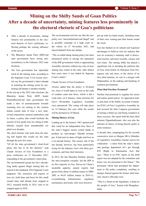### **Mining on the Shifty Sands of Goan Politics After a decade of uncertainty, mining features less prominently in the electoral rhetoric of Goa's politicians**

- After a decade of uncertainty, mining features less prominently in the electoral rhetoric of Goa's politicians, reflecting perhaps the waning influence of the sector.
- The Bharatiya Janata Party (BJP)-led state government faces strong antiincumbency in the February 2022 state elections.
- The Goa government has repeatedly erred on the mining issue, according to the Supreme Court. Civil society activists say the government's latest attempt at restarting the mining sector by auctioning old dumps is another mistake.

In the run-up to the 2022 state elections, the Bharatiya Janata Party (BJP) leader PramodSawant-led state government has made a slew of announcements towards resuming iron ore mining in the western Indian coastal state of Goa: a new stateowned corporation, mineral exploration, and its latest, [a policy](https://www.hindustantimes.com/india-news/will-help-resume-mining-says-goa-cm-on-new-policy-to-export-iron-ore-dumps-101640778323928.html) that would facilitate the auction of low-grade iron ore sitting in little hillocks created from unmarketable ore piled over decades.

The chief minister who hails from the mining belt hoped this would see the state through the next few years.

"Of all the state government's short-lived plans, this has to be the shortest," said Claude Alvares of Goa Foundation in a [press conference](http://goafoundation.org/goa-govts-new-dump-mining-policy/) on 31 December 2021, responding to the government's latest plan.

The environmental group has led a decadelong battle against illegal mining that climaxed in the landmark 2014 Supreme Court [judgment.](http://www.indiaenvironmentportal.org.in/files/supreme%20court%20order%20_%20mining%20_%20goa%20_%2021%20April%202014.pdf) The extraction and exports of iron ore, both bane and boon for this small coastal state, had already been stopped in 2012, resumed briefly in 2015, only to be stopped again in 2018.

The environmental activists say that the new policy was "unconstitutional and illegal" and in possible contempt of a high court or[der](https://indianexpress.com/article/cities/goa/hc-interim-stay-25-lakh-tonnes-minerals-mined-mnl-south-goa-7645480/) which, on 27 November 2021, had stayed dispatch from any dumps.

"The so-called dump mining policy has been announced solely to salvage the reputation of the BJP government which is approaching Assembly elections without any clue on how mining may restart in the state, after almost four years since it was halted by Supreme Court's orders."

Claude Alvares of Goa Foundation

Alvares added that the policy is ill-timed too, since it would lapse as soon as the code of conduct came into force, which it did a week later, on 8 January, when elections for Goa's 40-member Legislative Assembly were announced. The voting will take place on 14 February this year while the results will be declared on 10 March.

#### **Mining History of Goa**

Leading up to the historic 1967 opinion poll that voted for an independent Goa, three of the state's biggest miners joined hands to [produce](https://timesofindia.indiatimes.com/city/goa/sifting-opinion-poll-facts-from-fiction/articleshow/62641467.cms) an 'anti-merger' Marathi newspaper. It had seen its share of highs and lows in a six-decade history. The seesaw ride of the last decade, however, has been particularly trying for the industry, Goa's last three governments, and four chief ministers.

In 2012, the late Manohar Parrikar, playing the anti-corruption crusader, led the BJP to its first majority in Goa. Driven by China's insatiable appetite, annual exports had grown from [about 16 million tonnes in 2000](https://moef.gov.in/wp-content/uploads/2018/08/Report-of-the-CEC-in-IA-NO.-435-of-2012..pdf)- [2001 to 46.85 million tonnes in 2010](https://moef.gov.in/wp-content/uploads/2018/08/Report-of-the-CEC-in-IA-NO.-435-of-2012..pdf)-11, overwhelming infrastructure, regulatory mechanism, and locals, who were forced to

put up with ore laden trucks, including some of their own, roaring past their homes round the clock.

Goa has banked on its natural and logistical advantages to build an iron ore industry that was its economy's mainstay until it discovered tourism, and more recently, casinos and real estate. The mining lobby has played a significant role in deciding the political fate of Goa, from before its liberation from Portuguese rule and since, in the choice of its first chief minister, its veto to a merger with Maharashtra, in the making and breaking of coalition governments.

#### **What Had Parrikar Promised?**

Parrikar had promised to regulate the sector and reduce petrol prices. As opposition leader and chair of the Public Accounts Committee (PAC) of Goa's Legislative Assembly, he had accused the then Congress government of turning a blind eye and being complicit in these excesses. His report held the then chief minister [DigambarKamat,](https://www.thehindu.com/news/national/other-states/ousted-pac-chief-to-come-out-with-parrikar-accounts-committee-report/article2523752.ece) who was also the minister of mines, of being directly guilty in some instances.

A decade later, campaigning for his seventh consecutive term as Margao MLA (Member of Legislative Assembly), Kamat waives his vindication – a letter from the state's mines and geology department he's got through RTI (Right to Information Act) that says, ["There is no PAC report, as the draft](https://www.thehindu.com/news/national/other-states/ousted-pac-chief-to-come-out-with-parrikar-accounts-committee-report/article2523752.ece)  [report was not adopted by the committee and](https://www.thehindu.com/news/national/other-states/ousted-pac-chief-to-come-out-with-parrikar-accounts-committee-report/article2523752.ece)  [hence was not presented to the House."](https://www.thehindu.com/news/national/other-states/ousted-pac-chief-to-come-out-with-parrikar-accounts-committee-report/article2523752.ece) The document which had prompted the department to file police complaints, resulting in charges framed against the former chief minister, doesn't officially exist.

"This is a fraud on the legislature, a fraud on the people of Goa," Kamat told Mongabay-India.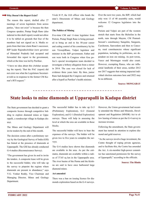#### **Why Doesn't the Report Exist?**

The reason this report, drafted after 27 meetings of seven legislators from across parties, "does not exist" is because the then Congress speaker, Pratap Singh Rane (also indicted in this draft report) would not allow it to be tabled on grounds that four of the members had not signed on it. Media reports from that time claim Rane's successor, BJP leader [RajendraArlekar](https://timesofindia.indiatimes.com/city/goa/Arlekar-Nothing-wrong-in-accepting-public-accounts-committee-report/articleshow/17069434.cms?from=mdr) (now governor of Himachal Pradesh) had accepted and forwarded this report to the government, which at the time was led by Parrikar.

"I have no idea about this (Arlekar accepting the report). That the PAC (report) did not exist was what the Legislature Secretariat told us in response to the former CM Kamat's RTI request."

Vivek H P, the IAS officer who heads the state's Directorate of Mines and Geology department.

#### **The Politics of Mining**

Five-time CM and 11-time legislator from Poriem, Pratap Singh Rane is being persuaded to bring an end to his 50-year career and [ceding control of his constituency](https://www.hindustantimes.com/india-news/goa-bjp-govt-to-confer-lifelong-cabinet-status-on-veteran-cong-leader-pratapsingh-rane-101641539744786.html) by his son ViswajitRane, Valpoi legislator and minister in the BJP government. Father and son were both in Congress when Goa police's special investigation team decided to investigate a bribery allegation from a miner in 2014. The case [was closed for lack](https://www.heraldgoa.in/Goa/SIT-files-closure-report-in-Dahej-Minerals-case-against-Ranes/125493) of evidence three years later. By then, junior Rane had dumped the Congress and returned after a bypoll as Parrikar's health minister.

Over the next two years, the BJP, which had only won 13 of 40 assembly seats, would welcome 12 Congress legislators into the party.

Poriem and Valpoi are part of the western stretch that starts from the Bicholim in the north, runs through Mayem, CM Pramod-Sawant's constituency Sanqulim, Sanguem, Curchorem, Sanvordem and then to Cancona, rural constituencies whose significant population, including its politicians, are dependent on iron ore mining. As port towns, Vasco and Mormugao would also count. However, exempting Ranes, who are influential landlords of their areas, neither 2012 nor 2017 suggests that mining impacted individual election outcomes here and 2022 may be no different.

**Source: MONGABAY**

### **State looks to mine diamonds at Upparapalli in Kadapa district**

The State government has decided to grant a composite licence through competitive bidding to explore diamond mines at Upparapalli, a nondescript village in Kadapa district.

The Mines and Geology Department will invite tenders by the end of this month.

The decision comes after a preliminary survey by the Geological Survey of India (GSI) has hinted at the presence of diamonds at Upparapalli. The GSI has already conducted G-4 studies (Reconnaissance Survey).

"The government has given its nod to invite the tenders. A composite lease will be given to the successful bidder, who will take up the survey to pinpoint the regions where diamonds are present in abundance," says V.G. Venkat Reddy, Vice Chairman and Managing Director, Mines and Geology Department.

The successful bidder has to take up G-3 (Preliminary Exploration), G-2 (General Exploration), and G-1 (Detailed Exploration) surveys. These will help in assessing the level at which the ores are available in those blocks.

The successful bidder will have to bear the expenses of the surveys. The bidder will be given two to five years to complete the surveys.

The G-4 studies have shown that diamonds are available in the area. As per the estimates, diamonds are available within a radius of 37.65 sq km in the Upparapalle area. The river basins of the Penna and the Krishna are said to have once harboured large diamond mines.

#### **Act amended**

There was a ban on issuing licence for diamonds exploration based on the G-4 surveys. However, the Union government had recently amended the Mines and Minerals, Development and Regulation (MNDR) Act to allow leasing of mines as per the G-4 survey to increase revenue.

Following the amendment, the State government has turned its attention to explore diamond and gold reserves.

"As the surveys involve huge investment, the Centre thought of roping private agencies, and to facilitate this, the Centre has amended the Act. A six-member high-power committee has sanctioned permission for the survey at Upparapalli," according to the officials.

**Source: The Hindu**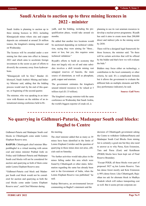### **Saudi Arabia to auction up to three mining licences in 2022 - minister**

Saudi Arabia is planning to auction up to three mining licences in 2022, including Khnaiguiyah mines where zinc and copper deposits are estimated at around 26 million tonnes, the kingdom's mining minister said on Wednesday.

The licences will be awarded under a new mining law that came into effect in January 2021 and which aims to accelerate foreign investment in the sector as part of efforts to diversify the economy away from hydrocarbons.

"Khnaiguiyah will be first," Bandar Alkhorayef, Saudi Arabia's Mining and Industry Minister said, adding that the bidding process would start by the end of this quarter, or beginning of the second quarter.

The minister, who was speaking in an interview with Reuters on the sideline of an international mining conference held in Riyadh, said the bidding, including the prequalification phase, would take around six months.

He added that another two locations would be auctioned depending on technical validation, saying they were aiming for "three... more or less, but yes, this requires some technical validation."

Riyadh's efforts to build an economy that does not largely rely on oil and state subsidies involves a shift towards mining vast untapped reserves of bauxite, the main source of aluminium, as well as phosphate, gold, copper and uranium.

The government estimates the kingdom's unused mineral resources to be valued at 5 trillion riyal (\$1.33 trillion).

The kingdom's energy minister told the same conference on Wednesday that Saudi Arabia, the world's biggest exporter of crude oil, is

planning to use its vast uranium resources to develop a nuclear power programme. Riyadh has said it aims to create more than 200,000 direct and indirect jobs in the mining sector by 2030.

There will be a designed legal framework for those licences, the minister said. "So there will be certain activities that will be offered by the bidder and that's how we will evaluate the bids."

Bidders may focus either on technology, a contribution to the local community or other criteria, he said. It's a complicated formula but it allows the government to evaluate the different bids on multiple elements and KPIs (key performance indicator), he said.

**Source: Gulf News**

# **No quarrying in Gidhmuri-Paturia, Madanpur South coal blocks: Baghel to Centre**

Gidhmuri-Paturia and Madanpur South coal blocks in Chhattisgarh come under Lemru Elephant Reserve area.

**RAIPUR:** Chhattisgarh chief minister BhupeshBaghel in a virtual meeting with union coal and mines minister Prahlad Joshi on Friday said Gidhmuri-Paturia and Madanpur South coal blocks will not be considered for auction and quarrying as both of them come under Lemru Elephant Reserve area

"Gidhmuri-Paturia coal block and Madanpur South coal block would not be considered for auction and quarrying as both the coal blocks come under Lemru Elephant Reserve area", said Chief Minister during

#### the meeting.

The chief minister added that as many as 39 mines have been identified in the limits of Lemru Elephant Corridor and the question of quarrying in these mines does not arise, officials said on Saturday.

"No further activities would take place in the mines falling under this area which were found by Chhattisgarh or other states. Information regarding the same has already been sent to the Government of India, when the Lemru Elephant Reserve was published," he said.

Sudeip Shrivastva, an environmental lawyer commenting on Baghel's statement said the

decision of Chhattisgarh government asking the Centre to withdraw GidhmuriPaturia and Madanpur South Coal Blocks from mining list is certainly a good one but they also need to answer as to why Parsa, Kete Extension, Tara and Parsa (East) and KeteBasan (PEKB) blocks have been kept out of Final Reserve Boundary.

"Except PEKB, all these blocks were part of proposed 3827 sq km Lemru Reserve. Tara has dense forest mostly and Kete Extension is 98% dense forest. Like Chhattisgarh, Rajasthan too ask for alternate block in Madhya Pradesh which will reduce transporting cost as well. But it seems private corporate are